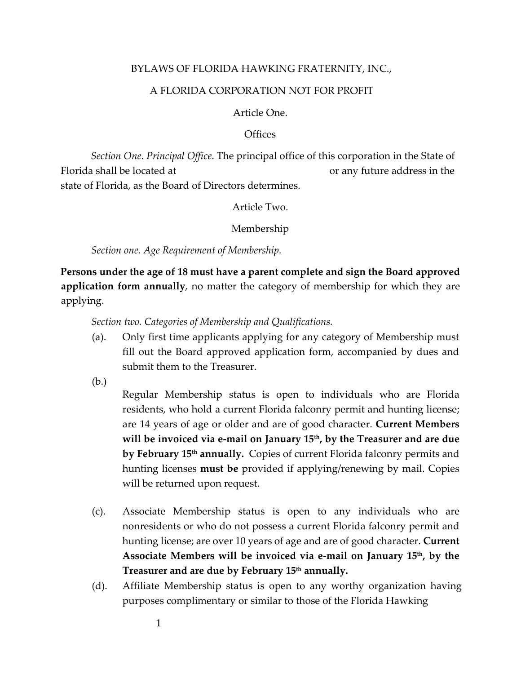# BYLAWS OF FLORIDA HAWKING FRATERNITY, INC.,

### A FLORIDA CORPORATION NOT FOR PROFIT

Article One.

#### **Offices**

*Section One. Principal Office*. The principal office of this corporation in the State of Florida shall be located at **or** any future address in the state of Florida, as the Board of Directors determines.

Article Two.

Membership

*Section one. Age Requirement of Membership.* 

**Persons under the age of 18 must have a parent complete and sign the Board approved application form annually**, no matter the category of membership for which they are applying.

*Section two. Categories of Membership and Qualifications.*

(a). Only first time applicants applying for any category of Membership must fill out the Board approved application form, accompanied by dues and submit them to the Treasurer.

(b.)

Regular Membership status is open to individuals who are Florida residents, who hold a current Florida falconry permit and hunting license; are 14 years of age or older and are of good character. **Current Members will be invoiced via e-mail on January 15th, by the Treasurer and are due by February 15th annually.** Copies of current Florida falconry permits and hunting licenses **must be** provided if applying/renewing by mail. Copies will be returned upon request.

- (c). Associate Membership status is open to any individuals who are nonresidents or who do not possess a current Florida falconry permit and hunting license; are over 10 years of age and are of good character. **Current Associate Members will be invoiced via e-mail on January 15th, by the Treasurer and are due by February 15th annually.**
- (d). Affiliate Membership status is open to any worthy organization having purposes complimentary or similar to those of the Florida Hawking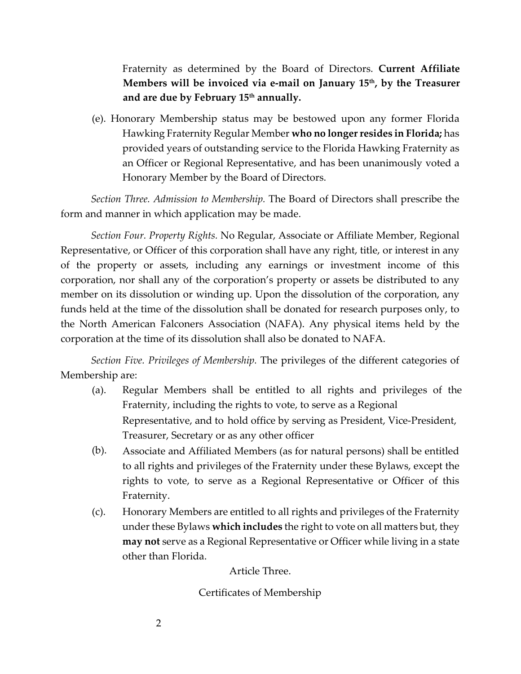Fraternity as determined by the Board of Directors. **Current Affiliate**  Members will be invoiced via e-mail on January 15<sup>th</sup>, by the Treasurer **and are due by February 15th annually.** 

(e). Honorary Membership status may be bestowed upon any former Florida Hawking Fraternity Regular Member **who no longer resides in Florida;** has provided years of outstanding service to the Florida Hawking Fraternity as an Officer or Regional Representative, and has been unanimously voted a Honorary Member by the Board of Directors.

*Section Three. Admission to Membership.* The Board of Directors shall prescribe the form and manner in which application may be made.

*Section Four. Property Rights.* No Regular, Associate or Affiliate Member, Regional Representative, or Officer of this corporation shall have any right, title, or interest in any of the property or assets, including any earnings or investment income of this corporation, nor shall any of the corporation's property or assets be distributed to any member on its dissolution or winding up. Upon the dissolution of the corporation, any funds held at the time of the dissolution shall be donated for research purposes only, to the North American Falconers Association (NAFA). Any physical items held by the corporation at the time of its dissolution shall also be donated to NAFA.

*Section Five. Privileges of Membership.* The privileges of the different categories of Membership are:

- (a). Regular Members shall be entitled to all rights and privileges of the Fraternity, including the rights to vote, to serve as a Regional Representative, and to hold office by serving as President, Vice-President, Treasurer, Secretary or as any other officer
- (b). Associate and Affiliated Members (as for natural persons) shall be entitled to all rights and privileges of the Fraternity under these Bylaws, except the rights to vote, to serve as a Regional Representative or Officer of this Fraternity.
- (c). Honorary Members are entitled to all rights and privileges of the Fraternity under these Bylaws **which includes** the right to vote on all matters but, they **may not** serve as a Regional Representative or Officer while living in a state other than Florida.

Article Three.

Certificates of Membership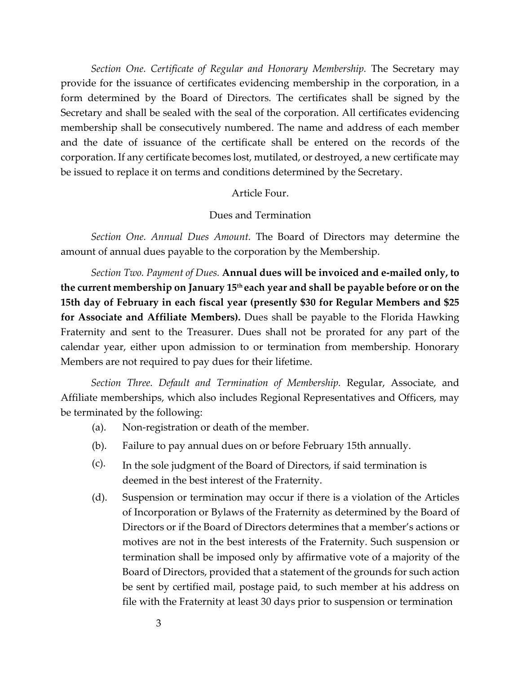*Section One. Certificate of Regular and Honorary Membership.* The Secretary may provide for the issuance of certificates evidencing membership in the corporation, in a form determined by the Board of Directors. The certificates shall be signed by the Secretary and shall be sealed with the seal of the corporation. All certificates evidencing membership shall be consecutively numbered. The name and address of each member and the date of issuance of the certificate shall be entered on the records of the corporation. If any certificate becomes lost, mutilated, or destroyed, a new certificate may be issued to replace it on terms and conditions determined by the Secretary.

### Article Four.

# Dues and Termination

*Section One. Annual Dues Amount.* The Board of Directors may determine the amount of annual dues payable to the corporation by the Membership.

*Section Two. Payment of Dues.* **Annual dues will be invoiced and e-mailed only, to the current membership on January 15th each year and shall be payable before or on the 15th day of February in each fiscal year (presently \$30 for Regular Members and \$25 for Associate and Affiliate Members).** Dues shall be payable to the Florida Hawking Fraternity and sent to the Treasurer. Dues shall not be prorated for any part of the calendar year, either upon admission to or termination from membership. Honorary Members are not required to pay dues for their lifetime.

*Section Three. Default and Termination of Membership.* Regular, Associate, and Affiliate memberships, which also includes Regional Representatives and Officers, may be terminated by the following:

- (a). Non-registration or death of the member.
- (b). Failure to pay annual dues on or before February 15th annually.
- (c). In the sole judgment of the Board of Directors, if said termination is deemed in the best interest of the Fraternity.
- (d). Suspension or termination may occur if there is a violation of the Articles of Incorporation or Bylaws of the Fraternity as determined by the Board of Directors or if the Board of Directors determines that a member's actions or motives are not in the best interests of the Fraternity. Such suspension or termination shall be imposed only by affirmative vote of a majority of the Board of Directors, provided that a statement of the grounds for such action be sent by certified mail, postage paid, to such member at his address on file with the Fraternity at least 30 days prior to suspension or termination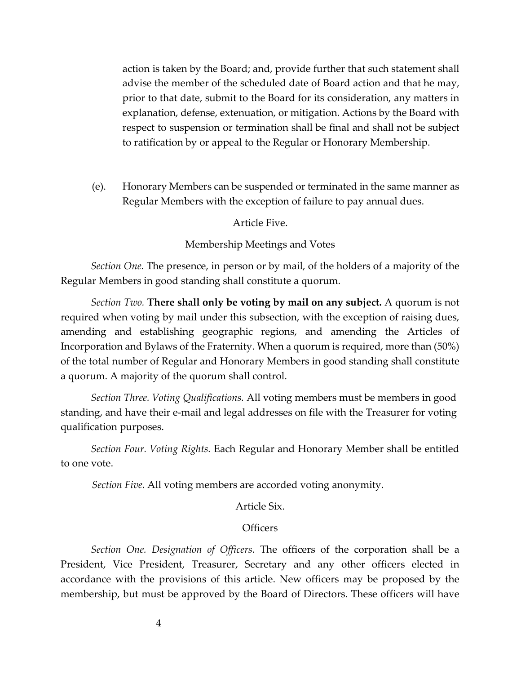action is taken by the Board; and, provide further that such statement shall advise the member of the scheduled date of Board action and that he may, prior to that date, submit to the Board for its consideration, any matters in explanation, defense, extenuation, or mitigation. Actions by the Board with respect to suspension or termination shall be final and shall not be subject to ratification by or appeal to the Regular or Honorary Membership.

(e). Honorary Members can be suspended or terminated in the same manner as Regular Members with the exception of failure to pay annual dues.

Article Five.

#### Membership Meetings and Votes

*Section One.* The presence, in person or by mail, of the holders of a majority of the Regular Members in good standing shall constitute a quorum.

*Section Two.* **There shall only be voting by mail on any subject.** A quorum is not required when voting by mail under this subsection, with the exception of raising dues, amending and establishing geographic regions, and amending the Articles of Incorporation and Bylaws of the Fraternity. When a quorum is required, more than (50%) of the total number of Regular and Honorary Members in good standing shall constitute a quorum. A majority of the quorum shall control.

*Section Three. Voting Qualifications.* All voting members must be members in good standing, and have their e-mail and legal addresses on file with the Treasurer for voting qualification purposes.

*Section Four. Voting Rights.* Each Regular and Honorary Member shall be entitled to one vote.

*Section Five.* All voting members are accorded voting anonymity.

### Article Six.

#### **Officers**

*Section One. Designation of Officers.* The officers of the corporation shall be a President, Vice President, Treasurer, Secretary and any other officers elected in accordance with the provisions of this article. New officers may be proposed by the membership, but must be approved by the Board of Directors. These officers will have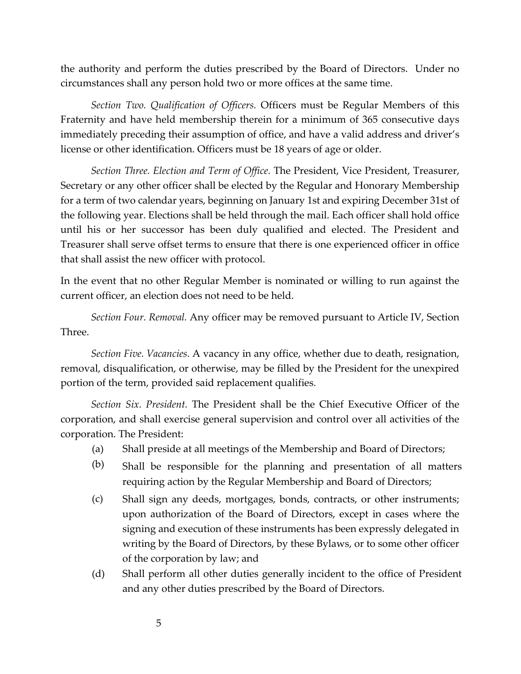the authority and perform the duties prescribed by the Board of Directors. Under no circumstances shall any person hold two or more offices at the same time.

*Section Two. Qualification of Officers.* Officers must be Regular Members of this Fraternity and have held membership therein for a minimum of 365 consecutive days immediately preceding their assumption of office, and have a valid address and driver's license or other identification. Officers must be 18 years of age or older.

*Section Three. Election and Term of Office.* The President, Vice President, Treasurer, Secretary or any other officer shall be elected by the Regular and Honorary Membership for a term of two calendar years, beginning on January 1st and expiring December 31st of the following year. Elections shall be held through the mail. Each officer shall hold office until his or her successor has been duly qualified and elected. The President and Treasurer shall serve offset terms to ensure that there is one experienced officer in office that shall assist the new officer with protocol.

In the event that no other Regular Member is nominated or willing to run against the current officer, an election does not need to be held.

*Section Four. Removal.* Any officer may be removed pursuant to Article IV, Section Three.

*Section Five. Vacancies.* A vacancy in any office, whether due to death, resignation, removal, disqualification, or otherwise, may be filled by the President for the unexpired portion of the term, provided said replacement qualifies.

*Section Six. President.* The President shall be the Chief Executive Officer of the corporation, and shall exercise general supervision and control over all activities of the corporation. The President:

- (a) Shall preside at all meetings of the Membership and Board of Directors;
- (b) Shall be responsible for the planning and presentation of all matters requiring action by the Regular Membership and Board of Directors;
- (c) Shall sign any deeds, mortgages, bonds, contracts, or other instruments; upon authorization of the Board of Directors, except in cases where the signing and execution of these instruments has been expressly delegated in writing by the Board of Directors, by these Bylaws, or to some other officer of the corporation by law; and
- (d) Shall perform all other duties generally incident to the office of President and any other duties prescribed by the Board of Directors.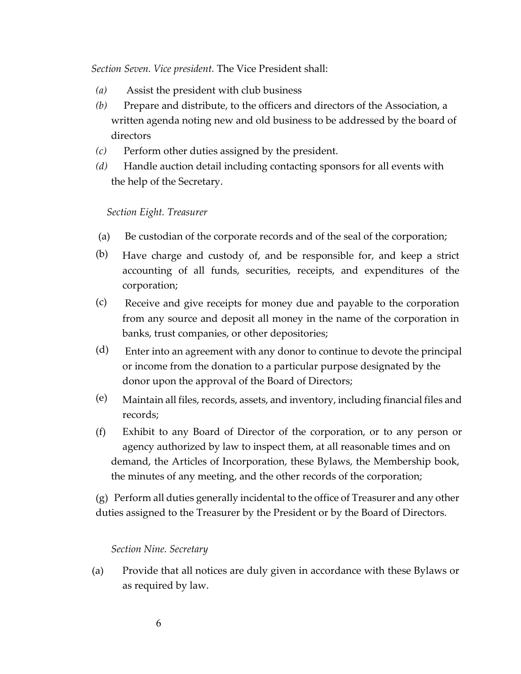*Section Seven. Vice president.* The Vice President shall:

- *(a)* Assist the president with club business
- *(b)* Prepare and distribute, to the officers and directors of the Association, a written agenda noting new and old business to be addressed by the board of directors
- *(c)* Perform other duties assigned by the president.
- *(d)* Handle auction detail including contacting sponsors for all events with the help of the Secretary.

# *Section Eight. Treasurer*

- (a) Be custodian of the corporate records and of the seal of the corporation;
- (b) Have charge and custody of, and be responsible for, and keep a strict accounting of all funds, securities, receipts, and expenditures of the corporation;
- (c) Receive and give receipts for money due and payable to the corporation from any source and deposit all money in the name of the corporation in banks, trust companies, or other depositories;
- (d) Enter into an agreement with any donor to continue to devote the principal or income from the donation to a particular purpose designated by the donor upon the approval of the Board of Directors;
- (e) Maintain all files, records, assets, and inventory, including financial files and records;
- (f) Exhibit to any Board of Director of the corporation, or to any person or agency authorized by law to inspect them, at all reasonable times and on demand, the Articles of Incorporation, these Bylaws, the Membership book, the minutes of any meeting, and the other records of the corporation;

(g) Perform all duties generally incidental to the office of Treasurer and any other duties assigned to the Treasurer by the President or by the Board of Directors.

# *Section Nine. Secretary*

(a) Provide that all notices are duly given in accordance with these Bylaws or as required by law.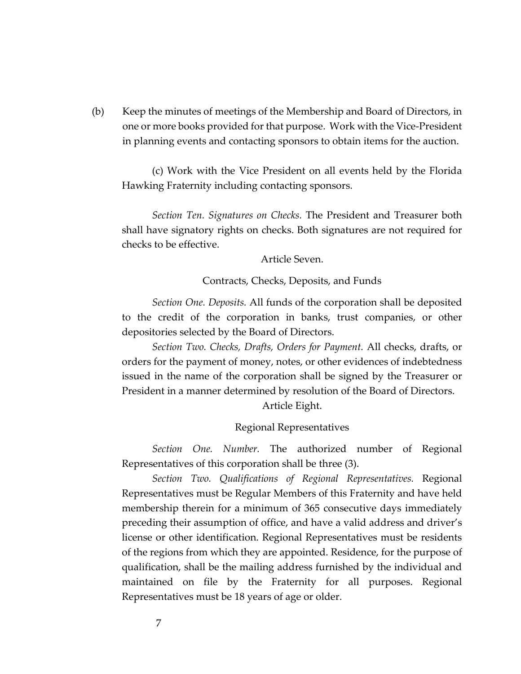(b) Keep the minutes of meetings of the Membership and Board of Directors, in one or more books provided for that purpose. Work with the Vice-President in planning events and contacting sponsors to obtain items for the auction.

(c) Work with the Vice President on all events held by the Florida Hawking Fraternity including contacting sponsors.

*Section Ten. Signatures on Checks.* The President and Treasurer both shall have signatory rights on checks. Both signatures are not required for checks to be effective.

Article Seven.

Contracts, Checks, Deposits, and Funds

*Section One. Deposits.* All funds of the corporation shall be deposited to the credit of the corporation in banks, trust companies, or other depositories selected by the Board of Directors.

*Section Two. Checks, Drafts, Orders for Payment.* All checks, drafts, or orders for the payment of money, notes, or other evidences of indebtedness issued in the name of the corporation shall be signed by the Treasurer or President in a manner determined by resolution of the Board of Directors.

Article Eight.

Regional Representatives

*Section One. Number.* The authorized number of Regional Representatives of this corporation shall be three (3).

*Section Two. Qualifications of Regional Representatives.* Regional Representatives must be Regular Members of this Fraternity and have held membership therein for a minimum of 365 consecutive days immediately preceding their assumption of office, and have a valid address and driver's license or other identification. Regional Representatives must be residents of the regions from which they are appointed. Residence, for the purpose of qualification, shall be the mailing address furnished by the individual and maintained on file by the Fraternity for all purposes. Regional Representatives must be 18 years of age or older.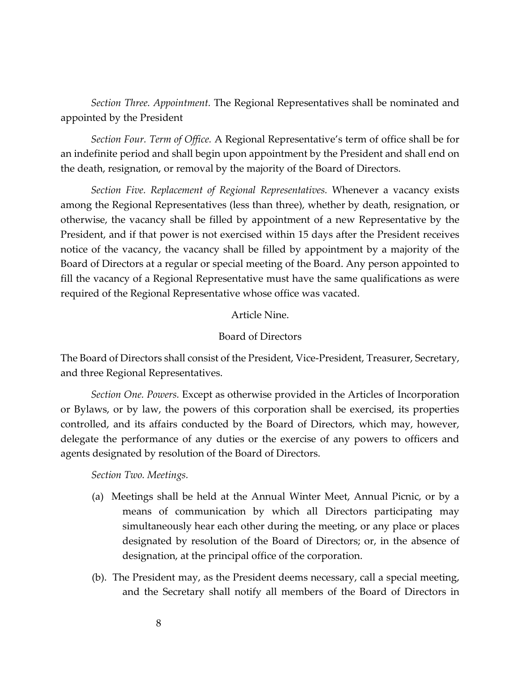*Section Three. Appointment.* The Regional Representatives shall be nominated and appointed by the President

*Section Four. Term of Office.* A Regional Representative's term of office shall be for an indefinite period and shall begin upon appointment by the President and shall end on the death, resignation, or removal by the majority of the Board of Directors.

*Section Five. Replacement of Regional Representatives.* Whenever a vacancy exists among the Regional Representatives (less than three), whether by death, resignation, or otherwise, the vacancy shall be filled by appointment of a new Representative by the President, and if that power is not exercised within 15 days after the President receives notice of the vacancy, the vacancy shall be filled by appointment by a majority of the Board of Directors at a regular or special meeting of the Board. Any person appointed to fill the vacancy of a Regional Representative must have the same qualifications as were required of the Regional Representative whose office was vacated.

# Article Nine.

# Board of Directors

The Board of Directors shall consist of the President, Vice-President, Treasurer, Secretary, and three Regional Representatives.

*Section One. Powers.* Except as otherwise provided in the Articles of Incorporation or Bylaws, or by law, the powers of this corporation shall be exercised, its properties controlled, and its affairs conducted by the Board of Directors, which may, however, delegate the performance of any duties or the exercise of any powers to officers and agents designated by resolution of the Board of Directors.

*Section Two. Meetings.* 

- (a) Meetings shall be held at the Annual Winter Meet, Annual Picnic, or by a means of communication by which all Directors participating may simultaneously hear each other during the meeting, or any place or places designated by resolution of the Board of Directors; or, in the absence of designation, at the principal office of the corporation.
- (b). The President may, as the President deems necessary, call a special meeting, and the Secretary shall notify all members of the Board of Directors in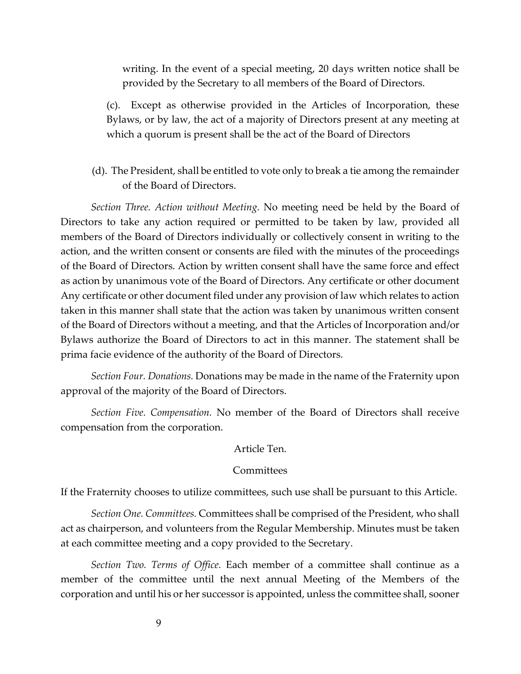writing. In the event of a special meeting, 20 days written notice shall be provided by the Secretary to all members of the Board of Directors.

(c). Except as otherwise provided in the Articles of Incorporation, these Bylaws, or by law, the act of a majority of Directors present at any meeting at which a quorum is present shall be the act of the Board of Directors

(d). The President, shall be entitled to vote only to break a tie among the remainder of the Board of Directors.

*Section Three. Action without Meeting.* No meeting need be held by the Board of Directors to take any action required or permitted to be taken by law, provided all members of the Board of Directors individually or collectively consent in writing to the action, and the written consent or consents are filed with the minutes of the proceedings of the Board of Directors. Action by written consent shall have the same force and effect as action by unanimous vote of the Board of Directors. Any certificate or other document Any certificate or other document filed under any provision of law which relates to action taken in this manner shall state that the action was taken by unanimous written consent of the Board of Directors without a meeting, and that the Articles of Incorporation and/or Bylaws authorize the Board of Directors to act in this manner. The statement shall be prima facie evidence of the authority of the Board of Directors.

*Section Four. Donations.* Donations may be made in the name of the Fraternity upon approval of the majority of the Board of Directors.

*Section Five. Compensation.* No member of the Board of Directors shall receive compensation from the corporation.

# Article Ten.

### **Committees**

If the Fraternity chooses to utilize committees, such use shall be pursuant to this Article.

*Section One. Committees.* Committees shall be comprised of the President, who shall act as chairperson, and volunteers from the Regular Membership. Minutes must be taken at each committee meeting and a copy provided to the Secretary.

*Section Two. Terms of Office.* Each member of a committee shall continue as a member of the committee until the next annual Meeting of the Members of the corporation and until his or her successor is appointed, unless the committee shall, sooner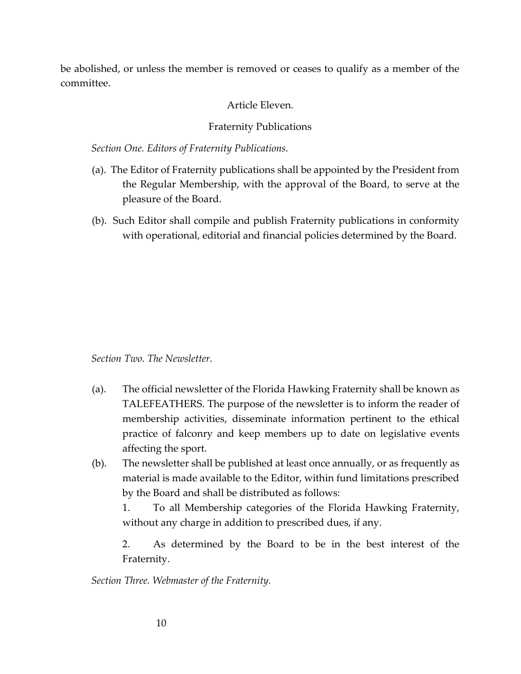be abolished, or unless the member is removed or ceases to qualify as a member of the committee.

# Article Eleven.

# Fraternity Publications

*Section One. Editors of Fraternity Publications.* 

- (a). The Editor of Fraternity publications shall be appointed by the President from the Regular Membership, with the approval of the Board, to serve at the pleasure of the Board.
- (b). Such Editor shall compile and publish Fraternity publications in conformity with operational, editorial and financial policies determined by the Board.

*Section Two. The Newsletter.* 

- (a). The official newsletter of the Florida Hawking Fraternity shall be known as TALEFEATHERS. The purpose of the newsletter is to inform the reader of membership activities, disseminate information pertinent to the ethical practice of falconry and keep members up to date on legislative events affecting the sport.
- (b). The newsletter shall be published at least once annually, or as frequently as material is made available to the Editor, within fund limitations prescribed by the Board and shall be distributed as follows:

1. To all Membership categories of the Florida Hawking Fraternity, without any charge in addition to prescribed dues, if any.

2. As determined by the Board to be in the best interest of the Fraternity.

*Section Three. Webmaster of the Fraternity.*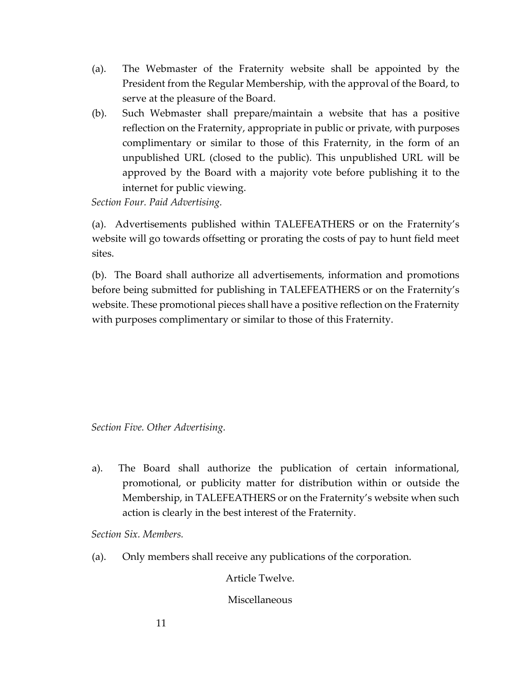- (a). The Webmaster of the Fraternity website shall be appointed by the President from the Regular Membership, with the approval of the Board, to serve at the pleasure of the Board.
- (b). Such Webmaster shall prepare/maintain a website that has a positive reflection on the Fraternity, appropriate in public or private, with purposes complimentary or similar to those of this Fraternity, in the form of an unpublished URL (closed to the public). This unpublished URL will be approved by the Board with a majority vote before publishing it to the internet for public viewing.

*Section Four. Paid Advertising.* 

(a). Advertisements published within TALEFEATHERS or on the Fraternity's website will go towards offsetting or prorating the costs of pay to hunt field meet sites.

(b). The Board shall authorize all advertisements, information and promotions before being submitted for publishing in TALEFEATHERS or on the Fraternity's website. These promotional pieces shall have a positive reflection on the Fraternity with purposes complimentary or similar to those of this Fraternity.

*Section Five. Other Advertising.*

a). The Board shall authorize the publication of certain informational, promotional, or publicity matter for distribution within or outside the Membership, in TALEFEATHERS or on the Fraternity's website when such action is clearly in the best interest of the Fraternity.

*Section Six. Members.* 

(a). Only members shall receive any publications of the corporation.

Article Twelve.

Miscellaneous